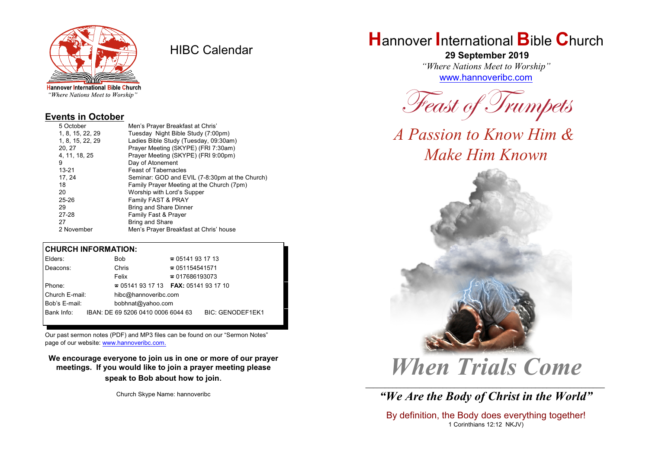

HIBC Calendar

"Where Nations Meet to Worship"

#### **Events in October**

| 5 October        | Men's Prayer Breakfast at Chris'               |
|------------------|------------------------------------------------|
| 1, 8, 15, 22, 29 | Tuesday Night Bible Study (7:00pm)             |
| 1, 8, 15, 22, 29 | Ladies Bible Study (Tuesday, 09:30am)          |
| 20, 27           | Prayer Meeting (SKYPE) (FRI 7:30am)            |
| 4, 11, 18, 25    | Prayer Meeting (SKYPE) (FRI 9:00pm)            |
| 9                | Day of Atonement                               |
| $13 - 21$        | <b>Feast of Tabernacles</b>                    |
| 17, 24           | Seminar: GOD and EVIL (7-8:30pm at the Church) |
| 18               | Family Prayer Meeting at the Church (7pm)      |
| 20               | Worship with Lord's Supper                     |
| $25 - 26$        | Family FAST & PRAY                             |
| 29               | <b>Bring and Share Dinner</b>                  |
| 27-28            | Family Fast & Prayer                           |
| 27               | <b>Bring and Share</b>                         |
| 2 November       | Men's Prayer Breakfast at Chris' house         |

#### **CHURCH INFORMATION:**

| Elders:        | <b>Bob</b>                               | $\approx 05141931713$  |                         |  |
|----------------|------------------------------------------|------------------------|-------------------------|--|
| Deacons:       | Chris                                    | $\approx 051154541571$ |                         |  |
|                | Felix                                    | $\approx 017686193073$ |                         |  |
| Phone:         | $\approx 05141931713$ FAX: 0514193 17 10 |                        |                         |  |
| Church E-mail: | hibc@hannoveribc.com                     |                        |                         |  |
| Bob's E-mail:  | bobhnat@yahoo.com                        |                        |                         |  |
| Bank Info:     | IBAN: DE 69 5206 0410 0006 6044 63       |                        | <b>BIC: GENODEF1EK1</b> |  |

Our past sermon notes (PDF) and MP3 files can be found on our "Sermon Notes" page of our website: [www.hannoveribc.com.](http://www.hannoveribc.com.)

**We encourage everyone to join us in one or more of our prayer meetings. If you would like to join a prayer meeting please speak to Bob about how to join**.

Church Skype Name: hannoveribc

# **H**annover **I**nternational **B**ible **C**hurch

 **29 September 2019** *"Where Nations Meet to Worship"* [www.hannoveribc.com](http://www.hannoveribc.com)

*Feast of Trumpets*

*A Passion to Know Him & Make Him Known*



# *When Trials Come*

\_\_\_\_\_\_\_\_\_\_\_\_\_\_\_\_\_\_\_\_\_\_\_\_\_\_\_\_\_\_\_\_\_\_\_\_\_\_\_\_\_\_\_\_\_\_\_\_\_\_\_\_\_\_\_\_\_\_\_\_\_\_ *"We Are the Body of Christ in the World"*

By definition, the Body does everything together! 1 Corinthians 12:12 NKJV)